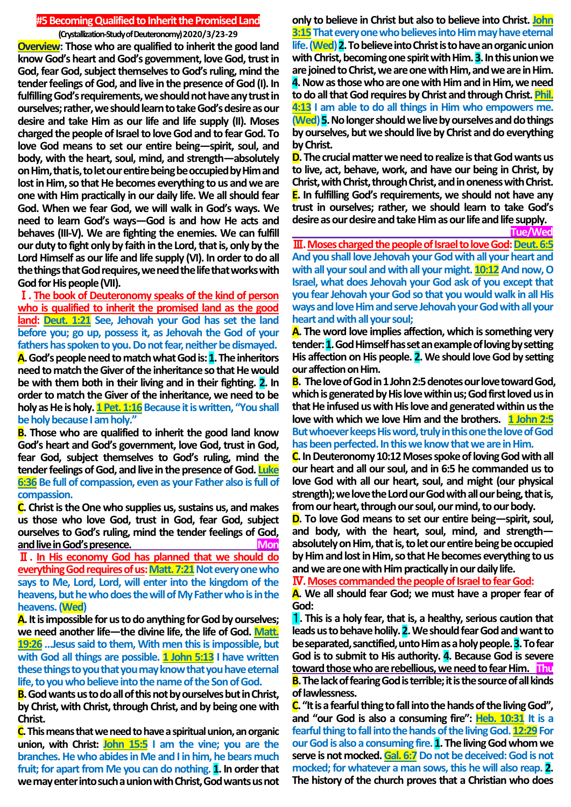## **#5Becoming Qualified to Inherit the Promised Land**

**(Crystallization-Study of Deuteronomy) 2020/3/23-29 Overview: Those who are qualified to inherit the good land know God's heart and God's government, love God, trust in God, fear God, subject themselves to God's ruling, mind the tender feelings of God, and live in the presence of God (I). In fulfilling God's requirements, we should not have any trust in ourselves; rather, we should learn to take God's desire as our desire and take Him as our life and life supply (II). Moses charged the people of Israel to love God and to fear God. To love God means to set our entire being—spirit, soul, and body, with the heart, soul, mind, and strength—absolutely on Him, that is, to let our entire being be occupied by Him and lost in Him, so that He becomes everything to us and we are one with Him practically in our daily life. We all should fear God. When we fear God, we will walk in God's ways. We need to learn God's ways—God is and how He acts and behaves (III-V). We are fighting the enemies. We can fulfill our duty to fight only by faith in the Lord, that is, only by the Lord Himself as our life and life supply (VI). In order to do all the things that God requires, we needthe life that works with God for His people(VII).**

Ⅰ**. The book of Deuteronomy speaks of the kind of person who is qualified to inherit the promised land as the good land: Deut. 1:21 See, Jehovah your God has set the land before you; go up, possess it, as Jehovah the God of your fathers has spoken to you. Do not fear, neither be dismayed. A.God's people need to match what God is: 1.The inheritors need to match the Giver of the inheritance so that He would be with them both in their living and in their fighting. 2. In order to match the Giver of the inheritance, we need to be holy as He is holy. 1 Pet. 1:16Because it is written, "Youshall be holy because I am holy."**

**B. Those who are qualified to inherit the good land know God's heart and God's government, love God, trust in God, fear God, subject themselves to God's ruling, mind the tender feelings of God, and live in the presence of God. Luke 6:36 Be full of compassion, even as your Father also is full of compassion.**

**C. Christ is the One who supplies us, sustains us, and makes us those who love God, trust in God, fear God, subject ourselves to God's ruling, mind the tender feelings of God, and live in God's presence. Mon**

Ⅱ**. In His economy God has planned that we should do everything God requires of us: Matt. 7:21 Not every one who says to Me, Lord, Lord, will enter into the kingdom of the heavens, but he who does the will of My Father who is in the heavens. (Wed)**

**A.It is impossible for us to do anything for God by ourselves; we need another life—the divine life, the life of God. Matt. 19:26 …Jesus said to them, With men this is impossible, but with God all things are possible. 1 John 5:13 I have written these things to you that you may know that you have eternal life, to you who believe into the name of the Son of God.**

**B.God wants us to do all of this not by ourselves but in Christ, by Christ, with Christ, through Christ, and by being one with Christ.**

**C.This means that we need to have a spiritual union, an organic union, with Christ: John 15:5 I am the vine; you are the branches. He who abides in Me and I in him, he bears much fruit; for apart from Me you can do nothing. 1. In order that we may enter into such a union with Christ, God wants us not** 

**only to believe in Christ but also to believe into Christ. John 3:15That every one who believes into Him may have eternal life. (Wed) 2. To believe into Christ is to have an organic union**  with Christ, becoming one spirit with Him. **3**. In this union we **are joined to Christ, we are one with Him, and we are in Him. 4.Now as those who are one with Him and in Him, we need to do all that God requires by Christ and through Christ. Phil. 4:13 I am able to do all things in Him who empowers me. (Wed) 5.No longer should we live by ourselves and do things by ourselves, but we should live by Christ and do everything by Christ.**

**D.The crucial matter we need to realize is that God wants us to live, act, behave, work, and have our being in Christ, by Christ, with Christ, through Christ, and in oneness with Christ. E. In fulfilling God's requirements, we should not have any trust in ourselves; rather, we should learn to take God's desire as our desire and take Him as our life and life supply.**

**Tue/Wed**

**III. Moses charged the people of Israel to love God: Deut. 6:5 And you shall love Jehovah your God with all your heart and**  with all your soul and with all your might. **10:12** And now, O **Israel, what does Jehovah your God ask of you except that you fear Jehovah your God so that you would walk in all His ways and love Him and serve Jehovah your God with all your heart and with all your soul;**

**A. The word love implies affection, which is something very tender: 1.God Himself has set an example of loving by setting His affection on His people. 2. We should love God by setting our affection on Him.**

**B. The love of God in 1 John 2:5 denotes our love toward God, which is generated by His love within us; God first loved us in that He infused us with His love and generated within us the love with which we love Him and the brothers. 1 John 2:5 But whoever keeps His word, truly in this one the love of God has been perfected. In this we know that we are in Him.**

**C. In Deuteronomy 10:12 Moses spoke of loving God with all our heart and all our soul, and in 6:5 he commanded us to love God with all our heart, soul, and might (our physical strength); we love the Lord our God with all our being, that is, from our heart, through our soul, our mind, to our body.**

**D. To love God means to set our entire being—spirit, soul, and body, with the heart, soul, mind, and strength absolutely on Him, that is, to let our entire being be occupied by Him and lost in Him, so that He becomes everything to us and we are one with Him practically in our daily life.**

Ⅳ**. Moses commanded the people of Israel to fear God:**

**A. We all should fear God; we must have a proper fear of God:**

1**. This is a holy fear, that is, a healthy, serious caution that leads us to behave holily. 2.We should fear God and want to be separated, sanctified, unto Him as a holy people. 3.To fear God is to submit to His authority. 4. Because God is severe toward those who are rebellious, we need to fear Him. Thu B.The lack of fearing God is terrible; it is the source of all kinds of lawlessness.**

**C."It is a fearful thing to fall into the hands of the living God", and "our God is also a consuming fire": Heb. 10:31 It is a**  fearful thing to fall into the hands of the living God. **12:29** For **our God is also a consuming fire. 1. The living God whom we**  serve is not mocked. Gal. 6:7 Do not be deceived: God is not **mocked; for whatever a man sows, this he will also reap. 2. The history of the church proves that a Christian who does**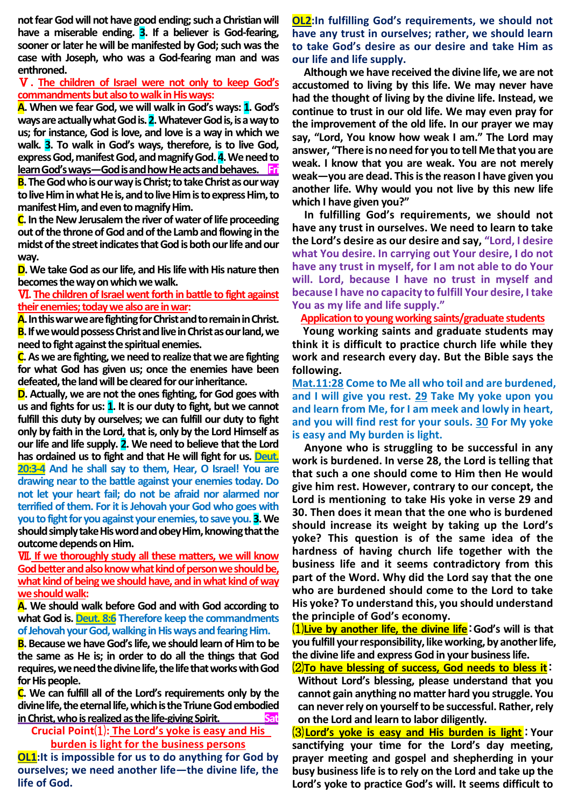**not fear God will not have good ending; such a Christian will have a miserable ending. 3. If a believer is God-fearing, sooner or later he will be manifested by God; such was the case with Joseph, who was a God-fearing man and was enthroned.**

## Ⅴ**. The children of Israel were not only to keep God's commandments but also to walk in His ways:**

**A. When we fear God, we will walk in God's ways: 1. God's ways are actually what God is. 2.Whatever God is, is a way to us; for instance, God is love, and love is a way in which we walk. 3. To walk in God's ways, therefore, is to live God, express God, manifest God, and magnify God. 4.We need to learn God's ways—God is and how He acts and behaves. Fri B.The God who is our way is Christ; to take Christ as our way** 

**to live Him in what He is, and to live Him is to express Him, to manifest Him, and even to magnify Him.**

**C. In the New Jerusalem the river of water of life proceeding out of the throne of God and of the Lamb and flowing in the midst of the street indicates that God is both our life and our way.**

**D. We take God as our life, and His life with His nature then becomes the way on which we walk.**

## Ⅵ**. The children of Israel went forth in battle to fight against their enemies; today we also are in war:**

**A.In this war we are fighting for Christ and to remain in Christ. B.If we would possess Christ and live in Christ as our land, we need to fight against the spiritual enemies.**

**C.As we are fighting, we need to realize that we are fighting for what God has given us; once the enemies have been defeated, the land will be cleared for our inheritance.**

**D. Actually, we are not the ones fighting, for God goes with us and fights for us: 1. It is our duty to fight, but we cannot fulfill this duty by ourselves; we can fulfill our duty to fight only by faith in the Lord, that is, only by the Lord Himself as our life and life supply. 2. We need to believe that the Lord has ordained us to fight and that He will fight for us. Deut. 20:3-4 And he shall say to them, Hear, O Israel! You are drawing near to the battle against your enemies today. Do not let your heart fail; do not be afraid nor alarmed nor terrified of them. For it is Jehovah your God who goes with you to fight for you against your enemies, to save you. 3.We should simply take His word and obey Him, knowing that the outcome depends on Him.**

Ⅶ**. If we thoroughly study all these matters, we will know God better and also know what kind of person we should be, what kind of being we should have, and in what kind of way we should walk:**

**A. We should walk before God and with God according to what God is. Deut. 8:6 Therefore keep the commandments of Jehovah your God, walking in His ways and fearing Him.**

**B. Because we have God's life, we should learn of Him to be the same as He is; in order to do all the things that God requires, we need the divine life, the life that works with God for His people.**

**C. We can fulfill all of the Lord's requirements only by the divine life, the eternal life, which is the Triune God embodied**  in Christ, who is realized as the life-giving Spirit.

**Crucial Point**⑴**: The Lord's yoke is easy and His burden is light for the business persons**

**OL1:** It is impossible for us to do anything for God by **ourselves; we need another life—the divine life, the life of God.**

**OL2:In fulfilling God's requirements, we should not have any trust in ourselves; rather, we should learn to take God's desire as our desire and take Him as our life and life supply.**

**Although we have received the divine life, we are not accustomed to living by this life. We may never have had the thought of living by the divine life. Instead, we continue to trust in our old life. We may even pray for the improvement of the old life. In our prayer we may say, "Lord, You know how weak I am." The Lord may answer, "There is no need for you to tell Me that you are weak. I know that you are weak. You are not merely weak—you are dead. This is the reason I have given you another life. Why would you not live by this new life which I have given you?"**

**In fulfilling God's requirements, we should not have any trust in ourselves. We need to learn to take the Lord's desire as our desire and say, "Lord, I desire what You desire. In carrying out Your desire, I do not have any trust in myself, for I am not able to do Your will. Lord, because I have no trust in myself and because I have no capacity to fulfill Your desire, I take You as my life and life supply."**

**Application to young working saints/graduate students**

**Young working saints and graduate students may think it is difficult to practice church life while they work and research every day. But the Bible says the following.**

**Mat.11:28 Come to Me all who toil and are burdened, and I will give you rest. 29 Take My yoke upon you and learn from Me, for I am meek and lowly in heart, and you will find rest for your souls. 30 For My yoke is easy and My burden is light.**

**Anyone who is struggling to be successful in any work is burdened. In verse 28, the Lord is telling that that such a one should come to Him then He would give him rest. However, contrary to our concept, the Lord is mentioning to take His yoke in verse 29 and 30. Then does it mean that the one who is burdened should increase its weight by taking up the Lord's yoke? This question is of the same idea of the hardness of having church life together with the business life and it seems contradictory from this part of the Word. Why did the Lord say that the one who are burdened should come to the Lord to take His yoke? To understand this, you should understand the principle of God's economy.** 

⑴**Live by another life, the divine life**:**God's will is that you fulfill your responsibility, like working, by another life, the divine life and express God in your business life.** 

⑵**To have blessing of success, God needs to bless it**: **Without Lord's blessing, please understand that you cannot gain anything no matter hard you struggle. You can never rely on yourself to be successful. Rather, rely on the Lord and learn to labor diligently.**

⑶**Lord's yoke is easy and His burden is light**:**Your sanctifying your time for the Lord's day meeting, prayer meeting and gospel and shepherding in your busy business life is to rely on the Lord and take up the Lord's yoke to practice God's will. It seems difficult to**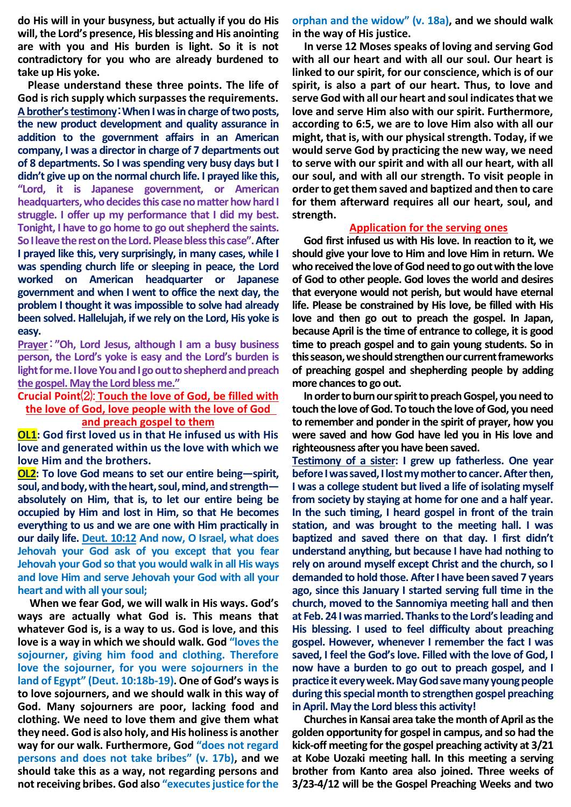**do His will in your busyness, but actually if you do His will, the Lord's presence, His blessing and His anointing are with you and His burden is light. So it is not contradictory for you who are already burdened to take up His yoke.**

**Please understand these three points. The life of God is rich supply which surpasses the requirements. A brother's testimony**:**When I was in charge of two posts, the new product development and quality assurance in addition to the government affairs in an American company, I was a director in charge of 7 departments out of 8 departments. So I was spending very busy days but I didn't give up on the normal church life. I prayed like this, "Lord, it is Japanese government, or American headquarters, who decides this caseno matter how hard I struggle. I offer up my performance that I did my best. Tonight, I have to go home to go out shepherd the saints. So I leave the rest on the Lord. Please bless this case". After I prayed like this, very surprisingly, in many cases, while I was spending church life or sleeping in peace, the Lord worked on American headquarter or Japanese government and when I went to office the next day, the problem I thought it was impossible to solve had already been solved. Hallelujah, if we rely on the Lord, His yoke is easy.**

**Prayer**:**"Oh, Lord Jesus, although I am a busy business person, the Lord's yoke is easy and the Lord's burden is light for me. I love You and I go out to shepherd and preach the gospel. May the Lord bless me."**

**Crucial Point**⑵: **Touch the love of God, be filled with** 

**the love of God, love people with the love of God and preach gospel to them**

**OL1: God first loved us in that He infused us with His love and generated within us the love with which we love Him and the brothers.**

**OL2: To love God means to set our entire being—spirit, soul, and body, with the heart, soul, mind, and strength absolutely on Him, that is, to let our entire being be occupied by Him and lost in Him, so that He becomes everything to us and we are one with Him practically in our daily life. Deut. 10:12 And now, O Israel, what does Jehovah your God ask of you except that you fear Jehovah your God so that you would walk in all His ways and love Him and serve Jehovah your God with all your heart and with all your soul;**

**When we fear God, we will walk in His ways. God's ways are actually what God is. This means that whatever God is, is a way to us. God is love, and this love is a way in which we should walk. God "loves the sojourner, giving him food and clothing. Therefore love the sojourner, for you were sojourners in the land of Egypt" (Deut. 10:18b-19). One of God's ways is to love sojourners, and we should walk in this way of God. Many sojourners are poor, lacking food and clothing. We need to love them and give them what they need. God is also holy, and His holiness is another way for our walk. Furthermore, God "does not regard persons and does not take bribes" (v. 17b), and we should take this as a way, not regarding persons and not receiving bribes. God also "executes justice for the** 

**orphan and the widow" (v. 18a), and we should walk in the way of His justice.**

**In verse 12 Moses speaks of loving and serving God with all our heart and with all our soul. Our heart is linked to our spirit, for our conscience, which is of our spirit, is also a part of our heart. Thus, to love and serve God with all our heart and soul indicates that we love and serve Him also with our spirit. Furthermore, according to 6:5, we are to love Him also with all our might, that is, with our physical strength. Today, if we would serve God by practicing the new way, we need to serve with our spirit and with all our heart, with all our soul, and with all our strength. To visit people in order to get them saved and baptized and then to care for them afterward requires all our heart, soul, and strength.**

## **Application for the serving ones**

**God first infused us with His love. In reaction to it, we should give your love to Him and love Him in return. We who received the love of God need to go out with the love of God to other people. God loves the world and desires that everyone would not perish, but would have eternal life. Please be constrained by His love, be filled with His love and then go out to preach the gospel. In Japan, because April is the time of entrance to college, it is good time to preach gospel and to gain young students. So in this season, we should strengthen our current frameworks of preaching gospel and shepherding people by adding more chances to go out.**

**In order to burn our spirit to preach Gospel, you need to touch the love of God. To touch the love of God, you need to remember and ponder in the spirit of prayer, how you were saved and how God have led you in His love and righteousness after you have been saved.**

**Testimony of a sister: I grew up fatherless. One year before I was saved, I lost my mother to cancer. After then, I was a college student but lived a life of isolating myself from society by staying at home for one and a half year. In the such timing, I heard gospel in front of the train station, and was brought to the meeting hall. I was baptized and saved there on that day. I first didn't understand anything, but because I have had nothing to rely on around myself except Christ and the church, so I demanded to hold those. After I have been saved 7 years ago, since this January I started serving full time in the church, moved to the Sannomiya meeting hall and then at Feb. 24 I was married. Thanks to the Lord's leading and His blessing. I used to feel difficulty about preaching gospel. However, whenever I remember the fact I was saved, I feel the God's love. Filled with the love of God, I now have a burden to go out to preach gospel, and I practice it every week. May God save many young people during this special month to strengthen gospel preaching in April. May the Lord bless this activity!**

**Churches in Kansai area take the month of April as the golden opportunity for gospel in campus, and so had the kick-off meeting forthe gospel preaching activity at 3/21 at Kobe Uozaki meeting hall. In this meeting a serving brother from Kanto area also joined. Three weeks of 3/23-4/12 will be the Gospel Preaching Weeks and two**